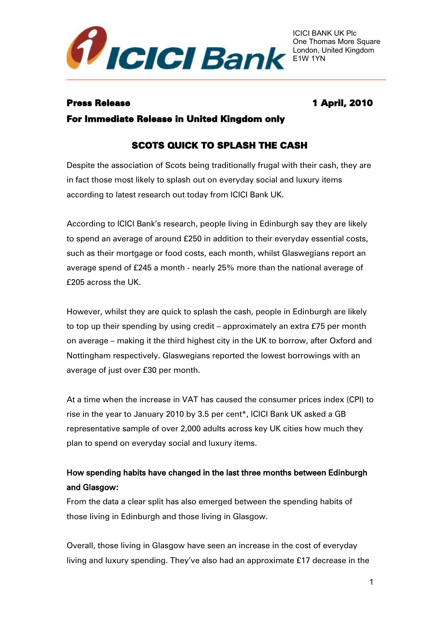

# Press Release 1 April, 2010

For Immediate Release in United Kingdom only

# SCOTS QUICK TO SPLASH THE CASH

Despite the association of Scots being traditionally frugal with their cash, they are in fact those most likely to splash out on everyday social and luxury items according to latest research out today from ICICI Bank UK.

According to ICICI Bank's research, people living in Edinburgh say they are likely to spend an average of around £250 in addition to their everyday essential costs, such as their mortgage or food costs, each month, whilst Glaswegians report an average spend of £245 a month - nearly 25% more than the national average of £205 across the UK.

However, whilst they are quick to splash the cash, people in Edinburgh are likely to top up their spending by using credit – approximately an extra £75 per month on average – making it the third highest city in the UK to borrow, after Oxford and Nottingham respectively. Glaswegians reported the lowest borrowings with an average of just over £30 per month.

At a time when the increase in VAT has caused the consumer prices index (CPI) to rise in the year to January 2010 by 3.5 per cent\*, ICICI Bank UK asked a GB representative sample of over 2,000 adults across key UK cities how much they plan to spend on everyday social and luxury items.

# How spending habits have changed in the last three months between Edinburgh and Glasgow:

From the data a clear split has also emerged between the spending habits of those living in Edinburgh and those living in Glasgow.

Overall, those living in Glasgow have seen an increase in the cost of everyday living and luxury spending. They've also had an approximate £17 decrease in the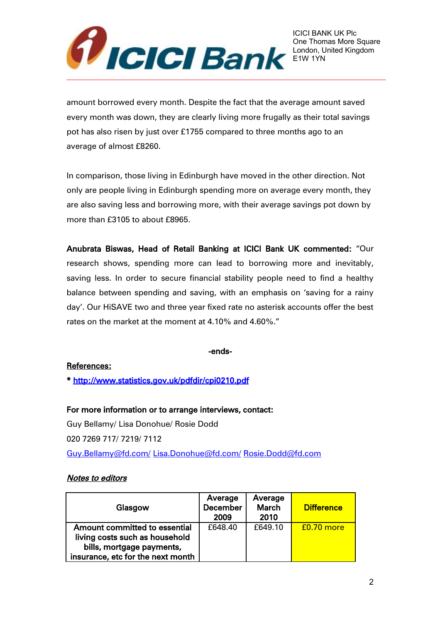

amount borrowed every month. Despite the fact that the average amount saved every month was down, they are clearly living more frugally as their total savings pot has also risen by just over £1755 compared to three months ago to an average of almost £8260.

In comparison, those living in Edinburgh have moved in the other direction. Not only are people living in Edinburgh spending more on average every month, they are also saving less and borrowing more, with their average savings pot down by more than £3105 to about £8965.

Anubrata Biswas, Head of Retail Banking at ICICI Bank UK commented: "Our research shows, spending more can lead to borrowing more and inevitably, saving less. In order to secure financial stability people need to find a healthy balance between spending and saving, with an emphasis on 'saving for a rainy day'. Our HiSAVE two and three year fixed rate no asterisk accounts offer the best rates on the market at the moment at 4.10% and 4.60%."

### -ends-

# References:

\*<http://www.statistics.gov.uk/pdfdir/cpi0210.pdf>

For more information or to arrange interviews, contact: Guy Bellamy/ Lisa Donohue/ Rosie Dodd 020 7269 717/ 7219/ 7112 [Guy.Bellamy@fd.com/](mailto:Guy.Bellamy@fd.com/) [Lisa.Donohue@fd.com/](mailto:Lisa.Donohue@fd.com/) [Rosie.Dodd@fd.com](mailto:Rosie.Dodd@fd.com)

# Notes to editors

| Glasgow                           | Average<br><b>December</b><br>2009 | Average<br><b>March</b><br>2010 | <b>Difference</b> |
|-----------------------------------|------------------------------------|---------------------------------|-------------------|
| Amount committed to essential     | £648.40                            | £649.10                         | $f0.70$ more      |
| living costs such as household    |                                    |                                 |                   |
| bills, mortgage payments,         |                                    |                                 |                   |
| insurance, etc for the next month |                                    |                                 |                   |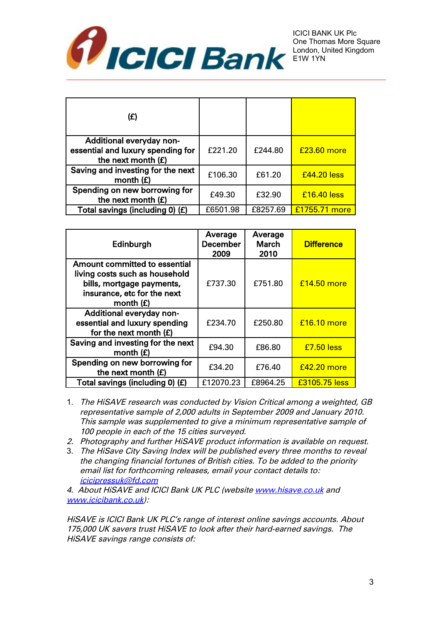

| (E)                                                                                   |          |          |               |
|---------------------------------------------------------------------------------------|----------|----------|---------------|
| Additional everyday non-<br>essential and luxury spending for<br>the next month $(E)$ | £221.20  | £244.80  | £23,60 more   |
| Saving and investing for the next<br>month $(E)$                                      | £106.30  | £61.20   | £44.20 less   |
| Spending on new borrowing for<br>the next month $(E)$                                 | £49.30   | £32.90   | $£16,40$ less |
| Total savings (including 0) (£)                                                       | £6501.98 | £8257.69 | £1755.71 more |

| Edinburgh                                                                                                                                  | Average<br><b>December</b><br>2009 | Average<br><b>March</b><br>2010 | <b>Difference</b> |
|--------------------------------------------------------------------------------------------------------------------------------------------|------------------------------------|---------------------------------|-------------------|
| Amount committed to essential<br>living costs such as household<br>bills, mortgage payments,<br>insurance, etc for the next<br>month $(E)$ | £737.30                            | £751.80                         | £14.50 more       |
| Additional everyday non-<br>essential and luxury spending<br>for the next month $(E)$                                                      | £234.70                            | £250.80                         | £16.10 more       |
| Saving and investing for the next<br>month $(E)$                                                                                           | £94.30                             | £86.80                          | £7.50 less        |
| Spending on new borrowing for<br>the next month $(E)$                                                                                      | £34.20                             | £76.40                          | £42.20 more       |
| Total savings (including 0) (£)                                                                                                            | £12070.23                          | £8964.25                        | £3105.75 less     |

- 1. The HiSAVE research was conducted by Vision Critical among a weighted, GB representative sample of 2,000 adults in September 2009 and January 2010. This sample was supplemented to give a minimum representative sample of 100 people in each of the 15 cities surveyed.
- 2. Photography and further HiSAVE product information is available on request.
- 3. The HiSave City Saving Index will be published every three months to reveal the changing financial fortunes of British cities. To be added to the priority email list for forthcoming releases, email your contact details to: [icicipressuk@fd.com](mailto:icicipressuk@fd.com)

4. About HiSAVE and ICICI Bank UK PLC (website [www.hisave.co.uk](http://www.hisave.co.uk/) and [www.icicibank.co.uk\)](http://www.icicibank.co.uk/):

HiSAVE is ICICI Bank UK PLC's range of interest online savings accounts. About 175,000 UK savers trust HiSAVE to look after their hard-earned savings. The HiSAVE savings range consists of: